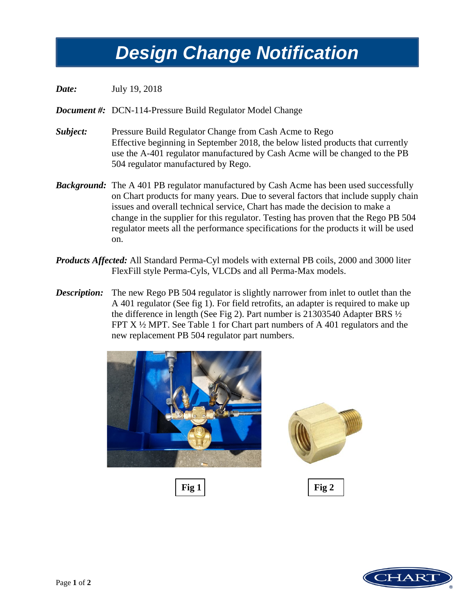## *Design Change Notification Design Change Notification*

*Date:* July 19, 2018

*Document #:* DCN-114-Pressure Build Regulator Model Change

- *Subject:* Pressure Build Regulator Change from Cash Acme to Rego Effective beginning in September 2018, the below listed products that currently use the A-401 regulator manufactured by Cash Acme will be changed to the PB 504 regulator manufactured by Rego.
- *Background:* The A 401 PB regulator manufactured by Cash Acme has been used successfully on Chart products for many years. Due to several factors that include supply chain issues and overall technical service, Chart has made the decision to make a change in the supplier for this regulator. Testing has proven that the Rego PB 504 regulator meets all the performance specifications for the products it will be used on.
- *Products Affected:* All Standard Perma-Cyl models with external PB coils, 2000 and 3000 liter FlexFill style Perma-Cyls, VLCDs and all Perma-Max models.
- *Description:* The new Rego PB 504 regulator is slightly narrower from inlet to outlet than the A 401 regulator (See fig 1). For field retrofits, an adapter is required to make up the difference in length (See Fig 2). Part number is 21303540 Adapter BRS  $\frac{1}{2}$ FPT  $X \frac{1}{2}$  MPT. See Table 1 for Chart part numbers of A 401 regulators and the new replacement PB 504 regulator part numbers.